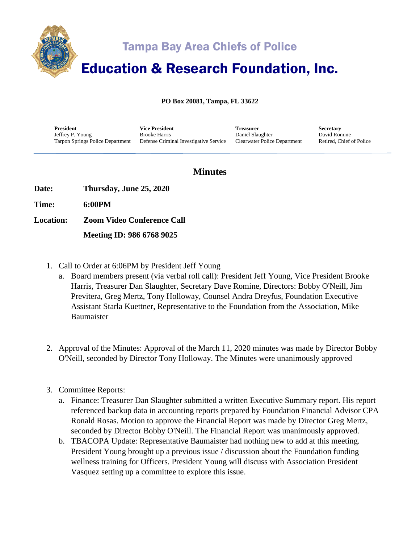

## Tampa Bay Area Chiefs of Police

# Education & Research Foundation, Inc.

**PO Box 20081, Tampa, FL 33622**

**President** Jeffrey P. Young Tarpon Springs Police Department

**Vice President** Brooke Harris Defense Criminal Investigative Service **Treasurer** Daniel Slaughter Clearwater Police Department **Secretary** David Romine Retired, Chief of Police

### **Minutes**

**Date: Thursday, June 25, 2020**

**Time: 6:00PM**

**Location: Zoom Video Conference Call**

 **Meeting ID: 986 6768 9025**

- 1. Call to Order at 6:06PM by President Jeff Young
	- a. Board members present (via verbal roll call): President Jeff Young, Vice President Brooke Harris, Treasurer Dan Slaughter, Secretary Dave Romine, Directors: Bobby O'Neill, Jim Previtera, Greg Mertz, Tony Holloway, Counsel Andra Dreyfus, Foundation Executive Assistant Starla Kuettner, Representative to the Foundation from the Association, Mike Baumaister
- 2. Approval of the Minutes: Approval of the March 11, 2020 minutes was made by Director Bobby O'Neill, seconded by Director Tony Holloway. The Minutes were unanimously approved
- 3. Committee Reports:
	- a. Finance: Treasurer Dan Slaughter submitted a written Executive Summary report. His report referenced backup data in accounting reports prepared by Foundation Financial Advisor CPA Ronald Rosas. Motion to approve the Financial Report was made by Director Greg Mertz, seconded by Director Bobby O'Neill. The Financial Report was unanimously approved.
	- b. TBACOPA Update: Representative Baumaister had nothing new to add at this meeting. President Young brought up a previous issue / discussion about the Foundation funding wellness training for Officers. President Young will discuss with Association President Vasquez setting up a committee to explore this issue.